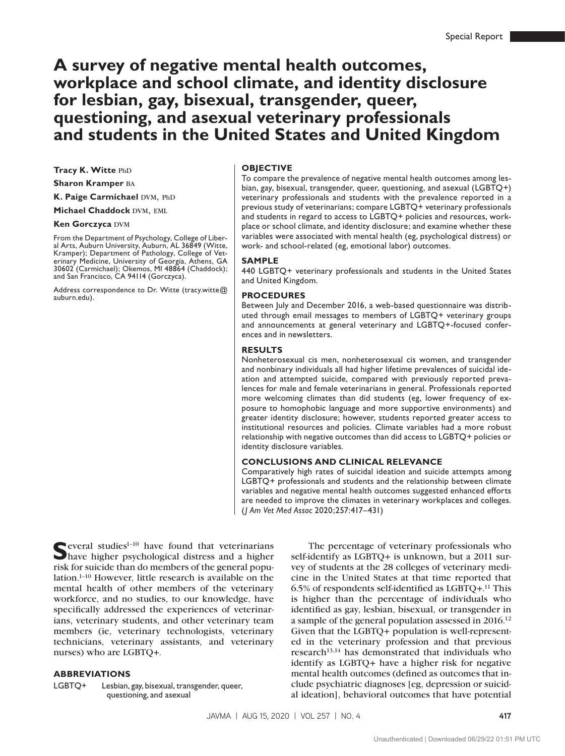# **A survey of negative mental health outcomes, workplace and school climate, and identity disclosure for lesbian, gay, bisexual, transgender, queer, questioning, and asexual veterinary professionals and students in the United States and United Kingdom**

**Tracy K. Witte PhD** 

**Sharon Kramper** ba

**K. Paige Carmichael DVM, PhD** 

**Michael Chaddock DVM, EML** 

**Ken Gorczyca DVM** 

From the Department of Psychology, College of Liberal Arts, Auburn University, Auburn, AL 36849 (Witte, Kramper); Department of Pathology, College of Veterinary Medicine, University of Georgia, Athens, GA 30602 (Carmichael); Okemos, MI 48864 (Chaddock); and San Francisco, CA 94114 (Gorczyca).

Address correspondence to Dr. Witte [\(tracy.witte@](mailto:tracy.witte@auburn.edu) [auburn.edu](mailto:tracy.witte@auburn.edu)).

#### **OBJECTIVE**

To compare the prevalence of negative mental health outcomes among lesbian, gay, bisexual, transgender, queer, questioning, and asexual (LGBTQ+) veterinary professionals and students with the prevalence reported in a previous study of veterinarians; compare LGBTQ+ veterinary professionals and students in regard to access to LGBTQ+ policies and resources, workplace or school climate, and identity disclosure; and examine whether these variables were associated with mental health (eg, psychological distress) or work- and school-related (eg, emotional labor) outcomes.

#### **SAMPLE**

440 LGBTQ+ veterinary professionals and students in the United States and United Kingdom.

#### **PROCEDURES**

Between July and December 2016, a web-based questionnaire was distributed through email messages to members of LGBTQ+ veterinary groups and announcements at general veterinary and LGBTQ+-focused conferences and in newsletters.

#### **RESULTS**

Nonheterosexual cis men, nonheterosexual cis women, and transgender and nonbinary individuals all had higher lifetime prevalences of suicidal ideation and attempted suicide, compared with previously reported prevalences for male and female veterinarians in general. Professionals reported more welcoming climates than did students (eg, lower frequency of exposure to homophobic language and more supportive environments) and greater identity disclosure; however, students reported greater access to institutional resources and policies. Climate variables had a more robust relationship with negative outcomes than did access to LGBTQ+ policies or identity disclosure variables.

### **CONCLUSIONS AND CLINICAL RELEVANCE**

Comparatively high rates of suicidal ideation and suicide attempts among LGBTQ+ professionals and students and the relationship between climate variables and negative mental health outcomes suggested enhanced efforts are needed to improve the climates in veterinary workplaces and colleges. (*J Am Vet Med Assoc* 2020;257:417–431)

Several studies<sup>1-10</sup> have found that veterinarians<br>have higher psychological distress and a higher risk for suicide than do members of the general population.1–10 However, little research is available on the mental health of other members of the veterinary workforce, and no studies, to our knowledge, have specifically addressed the experiences of veterinarians, veterinary students, and other veterinary team members (ie, veterinary technologists, veterinary technicians, veterinary assistants, and veterinary nurses) who are LGBTQ+.

#### **ABBREVIATIONS**

LGBTQ+ Lesbian, gay, bisexual, transgender, queer, questioning, and asexual

The percentage of veterinary professionals who self-identify as LGBTQ+ is unknown, but a 2011 survey of students at the 28 colleges of veterinary medicine in the United States at that time reported that 6.5% of respondents self-identified as LGBTQ+.11 This is higher than the percentage of individuals who identified as gay, lesbian, bisexual, or transgender in a sample of the general population assessed in 2016.12 Given that the LGBTQ+ population is well-represented in the veterinary profession and that previous research<sup>13,14</sup> has demonstrated that individuals who identify as LGBTQ+ have a higher risk for negative mental health outcomes (defined as outcomes that include psychiatric diagnoses [eg, depression or suicidal ideation], behavioral outcomes that have potential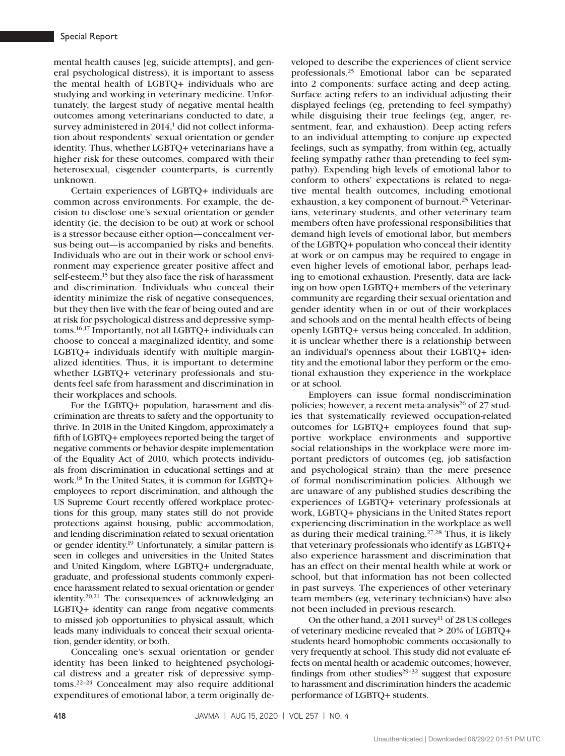mental health causes [eg, suicide attempts], and general psychological distress), it is important to assess the mental health of LGBTQ+ individuals who are studying and working in veterinary medicine. Unfortunately, the largest study of negative mental health outcomes among veterinarians conducted to date, a survey administered in 2014,<sup>1</sup> did not collect information about respondents' sexual orientation or gender identity. Thus, whether LGBTQ+ veterinarians have a higher risk for these outcomes, compared with their heterosexual, cisgender counterparts, is currently unknown.

Certain experiences of LGBTQ+ individuals are common across environments. For example, the decision to disclose one's sexual orientation or gender identity (ie, the decision to be out) at work or school is a stressor because either option—concealment versus being out—is accompanied by risks and benefits. Individuals who are out in their work or school environment may experience greater positive affect and self-esteem,<sup>15</sup> but they also face the risk of harassment and discrimination. Individuals who conceal their identity minimize the risk of negative consequences, but they then live with the fear of being outed and are at risk for psychological distress and depressive symptoms.16,17 Importantly, not all LGBTQ+ individuals can choose to conceal a marginalized identity, and some LGBTQ+ individuals identify with multiple marginalized identities. Thus, it is important to determine whether LGBTQ+ veterinary professionals and students feel safe from harassment and discrimination in their workplaces and schools.

For the LGBTQ+ population, harassment and discrimination are threats to safety and the opportunity to thrive. In 2018 in the United Kingdom, approximately a fifth of LGBTQ+ employees reported being the target of negative comments or behavior despite implementation of the Equality Act of 2010, which protects individuals from discrimination in educational settings and at work.18 In the United States, it is common for LGBTQ+ employees to report discrimination, and although the US Supreme Court recently offered workplace protections for this group, many states still do not provide protections against housing, public accommodation, and lending discrimination related to sexual orientation or gender identity.19 Unfortunately, a similar pattern is seen in colleges and universities in the United States and United Kingdom, where LGBTQ+ undergraduate, graduate, and professional students commonly experience harassment related to sexual orientation or gender identity.20,21 The consequences of acknowledging an LGBTQ+ identity can range from negative comments to missed job opportunities to physical assault, which leads many individuals to conceal their sexual orientation, gender identity, or both.

Concealing one's sexual orientation or gender identity has been linked to heightened psychological distress and a greater risk of depressive symptoms.22–24 Concealment may also require additional expenditures of emotional labor, a term originally de-

veloped to describe the experiences of client service professionals.25 Emotional labor can be separated into 2 components: surface acting and deep acting. Surface acting refers to an individual adjusting their displayed feelings (eg, pretending to feel sympathy) while disguising their true feelings (eg, anger, resentment, fear, and exhaustion). Deep acting refers to an individual attempting to conjure up expected feelings, such as sympathy, from within (eg, actually feeling sympathy rather than pretending to feel sympathy). Expending high levels of emotional labor to conform to others' expectations is related to negative mental health outcomes, including emotional exhaustion, a key component of burnout.<sup>25</sup> Veterinarians, veterinary students, and other veterinary team members often have professional responsibilities that demand high levels of emotional labor, but members of the LGBTQ+ population who conceal their identity at work or on campus may be required to engage in even higher levels of emotional labor, perhaps leading to emotional exhaustion. Presently, data are lacking on how open LGBTQ+ members of the veterinary community are regarding their sexual orientation and gender identity when in or out of their workplaces and schools and on the mental health effects of being openly LGBTQ+ versus being concealed. In addition, it is unclear whether there is a relationship between an individual's openness about their LGBTQ+ identity and the emotional labor they perform or the emotional exhaustion they experience in the workplace or at school.

Employers can issue formal nondiscrimination policies; however, a recent meta-analysis<sup>26</sup> of 27 studies that systematically reviewed occupation-related outcomes for LGBTQ+ employees found that supportive workplace environments and supportive social relationships in the workplace were more important predictors of outcomes (eg, job satisfaction and psychological strain) than the mere presence of formal nondiscrimination policies. Although we are unaware of any published studies describing the experiences of LGBTQ+ veterinary professionals at work, LGBTQ+ physicians in the United States report experiencing discrimination in the workplace as well as during their medical training.27,28 Thus, it is likely that veterinary professionals who identify as LGBTQ+ also experience harassment and discrimination that has an effect on their mental health while at work or school, but that information has not been collected in past surveys. The experiences of other veterinary team members (eg, veterinary technicians) have also not been included in previous research.

On the other hand, a 2011 survey<sup>11</sup> of 28 US colleges of veterinary medicine revealed that > 20% of LGBTQ+ students heard homophobic comments occasionally to very frequently at school. This study did not evaluate effects on mental health or academic outcomes; however, findings from other studies $29-32$  suggest that exposure to harassment and discrimination hinders the academic performance of LGBTQ+ students.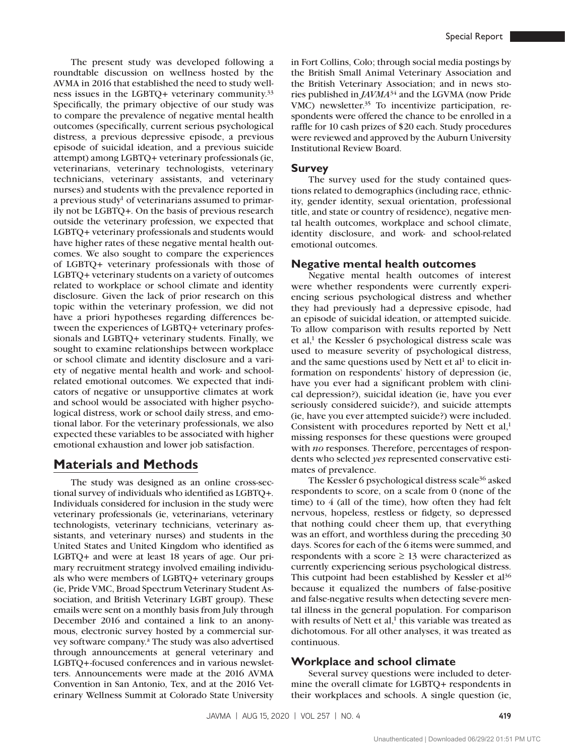The present study was developed following a roundtable discussion on wellness hosted by the AVMA in 2016 that established the need to study wellness issues in the LGBTQ+ veterinary community.33 Specifically, the primary objective of our study was to compare the prevalence of negative mental health outcomes (specifically, current serious psychological distress, a previous depressive episode, a previous episode of suicidal ideation, and a previous suicide attempt) among LGBTQ+ veterinary professionals (ie, veterinarians, veterinary technologists, veterinary technicians, veterinary assistants, and veterinary nurses) and students with the prevalence reported in a previous study<sup>1</sup> of veterinarians assumed to primarily not be LGBTQ+. On the basis of previous research outside the veterinary profession, we expected that LGBTQ+ veterinary professionals and students would have higher rates of these negative mental health outcomes. We also sought to compare the experiences of LGBTQ+ veterinary professionals with those of LGBTQ+ veterinary students on a variety of outcomes related to workplace or school climate and identity disclosure. Given the lack of prior research on this topic within the veterinary profession, we did not have a priori hypotheses regarding differences between the experiences of LGBTQ+ veterinary professionals and LGBTQ+ veterinary students. Finally, we sought to examine relationships between workplace or school climate and identity disclosure and a variety of negative mental health and work- and schoolrelated emotional outcomes. We expected that indicators of negative or unsupportive climates at work and school would be associated with higher psychological distress, work or school daily stress, and emotional labor. For the veterinary professionals, we also expected these variables to be associated with higher emotional exhaustion and lower job satisfaction.

# **Materials and Methods**

The study was designed as an online cross-sectional survey of individuals who identified as LGBTQ+. Individuals considered for inclusion in the study were veterinary professionals (ie, veterinarians, veterinary technologists, veterinary technicians, veterinary assistants, and veterinary nurses) and students in the United States and United Kingdom who identified as LGBTQ+ and were at least 18 years of age. Our primary recruitment strategy involved emailing individuals who were members of LGBTQ+ veterinary groups (ie, Pride VMC, Broad Spectrum Veterinary Student Association, and British Veterinary LGBT group). These emails were sent on a monthly basis from July through December 2016 and contained a link to an anonymous, electronic survey hosted by a commercial survey software company.<sup>a</sup> The study was also advertised through announcements at general veterinary and LGBTQ+-focused conferences and in various newsletters. Announcements were made at the 2016 AVMA Convention in San Antonio, Tex, and at the 2016 Veterinary Wellness Summit at Colorado State University

in Fort Collins, Colo; through social media postings by the British Small Animal Veterinary Association and the British Veterinary Association; and in news stories published in *JAVMA*34 and the LGVMA (now Pride VMC) newsletter.<sup>35</sup> To incentivize participation, respondents were offered the chance to be enrolled in a raffle for 10 cash prizes of \$20 each. Study procedures were reviewed and approved by the Auburn University Institutional Review Board.

#### **Survey**

The survey used for the study contained questions related to demographics (including race, ethnicity, gender identity, sexual orientation, professional title, and state or country of residence), negative mental health outcomes, workplace and school climate, identity disclosure, and work- and school-related emotional outcomes.

#### **Negative mental health outcomes**

Negative mental health outcomes of interest were whether respondents were currently experiencing serious psychological distress and whether they had previously had a depressive episode, had an episode of suicidal ideation, or attempted suicide. To allow comparison with results reported by Nett et al, $<sup>1</sup>$  the Kessler 6 psychological distress scale was</sup> used to measure severity of psychological distress, and the same questions used by Nett et al<sup>1</sup> to elicit information on respondents' history of depression (ie, have you ever had a significant problem with clinical depression?), suicidal ideation (ie, have you ever seriously considered suicide?), and suicide attempts (ie, have you ever attempted suicide?) were included. Consistent with procedures reported by Nett et  $al$ <sup>1</sup>. missing responses for these questions were grouped with *no* responses. Therefore, percentages of respondents who selected *yes* represented conservative estimates of prevalence.

The Kessler 6 psychological distress scale<sup>36</sup> asked respondents to score, on a scale from 0 (none of the time) to 4 (all of the time), how often they had felt nervous, hopeless, restless or fidgety, so depressed that nothing could cheer them up, that everything was an effort, and worthless during the preceding 30 days. Scores for each of the 6 items were summed, and respondents with a score  $\geq$  13 were characterized as currently experiencing serious psychological distress. This cutpoint had been established by Kessler et al<sup>36</sup> because it equalized the numbers of false-positive and false-negative results when detecting severe mental illness in the general population. For comparison with results of Nett et al, $<sup>1</sup>$  this variable was treated as</sup> dichotomous. For all other analyses, it was treated as continuous.

#### **Workplace and school climate**

Several survey questions were included to determine the overall climate for LGBTQ+ respondents in their workplaces and schools. A single question (ie,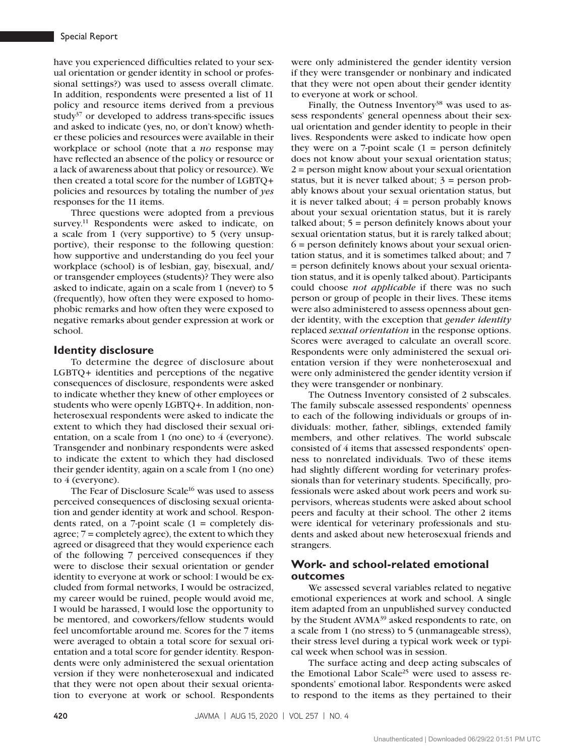have you experienced difficulties related to your sexual orientation or gender identity in school or professional settings?) was used to assess overall climate. In addition, respondents were presented a list of 11 policy and resource items derived from a previous study $37$  or developed to address trans-specific issues and asked to indicate (yes, no, or don't know) whether these policies and resources were available in their workplace or school (note that a *no* response may have reflected an absence of the policy or resource or a lack of awareness about that policy or resource). We then created a total score for the number of LGBTQ+ policies and resources by totaling the number of *yes* responses for the 11 items.

Three questions were adopted from a previous survey.<sup>11</sup> Respondents were asked to indicate, on a scale from 1 (very supportive) to 5 (very unsupportive), their response to the following question: how supportive and understanding do you feel your workplace (school) is of lesbian, gay, bisexual, and/ or transgender employees (students)? They were also asked to indicate, again on a scale from 1 (never) to 5 (frequently), how often they were exposed to homophobic remarks and how often they were exposed to negative remarks about gender expression at work or school.

#### **Identity disclosure**

To determine the degree of disclosure about LGBTQ+ identities and perceptions of the negative consequences of disclosure, respondents were asked to indicate whether they knew of other employees or students who were openly LGBTQ+. In addition, nonheterosexual respondents were asked to indicate the extent to which they had disclosed their sexual orientation, on a scale from 1 (no one) to 4 (everyone). Transgender and nonbinary respondents were asked to indicate the extent to which they had disclosed their gender identity, again on a scale from 1 (no one) to 4 (everyone).

The Fear of Disclosure Scale<sup>16</sup> was used to assess perceived consequences of disclosing sexual orientation and gender identity at work and school. Respondents rated, on a 7-point scale  $(1 = \text{completely dis-})$ agree; 7 = completely agree), the extent to which they agreed or disagreed that they would experience each of the following 7 perceived consequences if they were to disclose their sexual orientation or gender identity to everyone at work or school: I would be excluded from formal networks, I would be ostracized, my career would be ruined, people would avoid me, I would be harassed, I would lose the opportunity to be mentored, and coworkers/fellow students would feel uncomfortable around me. Scores for the 7 items were averaged to obtain a total score for sexual orientation and a total score for gender identity. Respondents were only administered the sexual orientation version if they were nonheterosexual and indicated that they were not open about their sexual orientation to everyone at work or school. Respondents

were only administered the gender identity version if they were transgender or nonbinary and indicated that they were not open about their gender identity to everyone at work or school.

Finally, the Outness Inventory $38$  was used to assess respondents' general openness about their sexual orientation and gender identity to people in their lives. Respondents were asked to indicate how open they were on a 7-point scale  $(1 =$  person definitely does not know about your sexual orientation status; 2 = person might know about your sexual orientation status, but it is never talked about;  $3 =$  person probably knows about your sexual orientation status, but it is never talked about;  $4 =$  person probably knows about your sexual orientation status, but it is rarely talked about; 5 = person definitely knows about your sexual orientation status, but it is rarely talked about; 6 = person definitely knows about your sexual orientation status, and it is sometimes talked about; and 7 = person definitely knows about your sexual orientation status, and it is openly talked about). Participants could choose *not applicable* if there was no such person or group of people in their lives. These items were also administered to assess openness about gender identity, with the exception that *gender identity* replaced *sexual orientation* in the response options. Scores were averaged to calculate an overall score. Respondents were only administered the sexual orientation version if they were nonheterosexual and were only administered the gender identity version if they were transgender or nonbinary.

The Outness Inventory consisted of 2 subscales. The family subscale assessed respondents' openness to each of the following individuals or groups of individuals: mother, father, siblings, extended family members, and other relatives. The world subscale consisted of 4 items that assessed respondents' openness to nonrelated individuals. Two of these items had slightly different wording for veterinary professionals than for veterinary students. Specifically, professionals were asked about work peers and work supervisors, whereas students were asked about school peers and faculty at their school. The other 2 items were identical for veterinary professionals and students and asked about new heterosexual friends and strangers.

### **Work- and school-related emotional outcomes**

We assessed several variables related to negative emotional experiences at work and school. A single item adapted from an unpublished survey conducted by the Student AVMA<sup>39</sup> asked respondents to rate, on a scale from 1 (no stress) to 5 (unmanageable stress), their stress level during a typical work week or typical week when school was in session.

The surface acting and deep acting subscales of the Emotional Labor Scale<sup>25</sup> were used to assess respondents' emotional labor. Respondents were asked to respond to the items as they pertained to their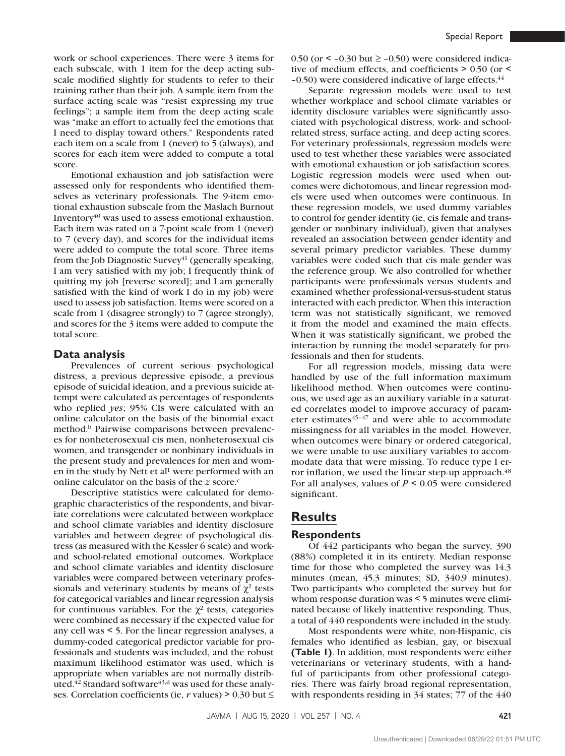work or school experiences. There were 3 items for each subscale, with 1 item for the deep acting subscale modified slightly for students to refer to their training rather than their job. A sample item from the surface acting scale was "resist expressing my true feelings"; a sample item from the deep acting scale was "make an effort to actually feel the emotions that I need to display toward others." Respondents rated each item on a scale from 1 (never) to 5 (always), and scores for each item were added to compute a total score.

Emotional exhaustion and job satisfaction were assessed only for respondents who identified themselves as veterinary professionals. The 9-item emotional exhaustion subscale from the Maslach Burnout Inventory $40$  was used to assess emotional exhaustion. Each item was rated on a 7-point scale from 1 (never) to 7 (every day), and scores for the individual items were added to compute the total score. Three items from the Job Diagnostic Survey<sup>41</sup> (generally speaking, I am very satisfied with my job; I frequently think of quitting my job [reverse scored]; and I am generally satisfied with the kind of work I do in my job) were used to assess job satisfaction. Items were scored on a scale from 1 (disagree strongly) to 7 (agree strongly), and scores for the 3 items were added to compute the total score.

#### **Data analysis**

Prevalences of current serious psychological distress, a previous depressive episode, a previous episode of suicidal ideation, and a previous suicide attempt were calculated as percentages of respondents who replied *yes*; 95% CIs were calculated with an online calculator on the basis of the binomial exact method.<sup>b</sup> Pairwise comparisons between prevalences for nonheterosexual cis men, nonheterosexual cis women, and transgender or nonbinary individuals in the present study and prevalences for men and women in the study by Nett et al<sup>1</sup> were performed with an online calculator on the basis of the *z* score.<sup>c</sup>

Descriptive statistics were calculated for demographic characteristics of the respondents, and bivariate correlations were calculated between workplace and school climate variables and identity disclosure variables and between degree of psychological distress (as measured with the Kessler 6 scale) and workand school-related emotional outcomes. Workplace and school climate variables and identity disclosure variables were compared between veterinary professionals and veterinary students by means of  $\chi^2$  tests for categorical variables and linear regression analysis for continuous variables. For the  $\chi^2$  tests, categories were combined as necessary if the expected value for any cell was < 5. For the linear regression analyses, a dummy-coded categorical predictor variable for professionals and students was included, and the robust maximum likelihood estimator was used, which is appropriate when variables are not normally distributed.<sup>42</sup> Standard software<sup>43,d</sup> was used for these analyses. Correlation coefficients (ie,  $r$  values) > 0.30 but  $\leq$  0.50 (or  $\le$  -0.30 but  $\ge$  -0.50) were considered indicative of medium effects, and coefficients > 0.50 (or <  $-0.50$ ) were considered indicative of large effects. $44$ 

Separate regression models were used to test whether workplace and school climate variables or identity disclosure variables were significantly associated with psychological distress, work- and schoolrelated stress, surface acting, and deep acting scores. For veterinary professionals, regression models were used to test whether these variables were associated with emotional exhaustion or job satisfaction scores. Logistic regression models were used when outcomes were dichotomous, and linear regression models were used when outcomes were continuous. In these regression models, we used dummy variables to control for gender identity (ie, cis female and transgender or nonbinary individual), given that analyses revealed an association between gender identity and several primary predictor variables. These dummy variables were coded such that cis male gender was the reference group. We also controlled for whether participants were professionals versus students and examined whether professional-versus-student status interacted with each predictor. When this interaction term was not statistically significant, we removed it from the model and examined the main effects. When it was statistically significant, we probed the interaction by running the model separately for professionals and then for students.

For all regression models, missing data were handled by use of the full information maximum likelihood method. When outcomes were continuous, we used age as an auxiliary variable in a saturated correlates model to improve accuracy of parameter estimates $45-47$  and were able to accommodate missingness for all variables in the model. However, when outcomes were binary or ordered categorical, we were unable to use auxiliary variables to accommodate data that were missing. To reduce type I error inflation, we used the linear step-up approach.<sup>48</sup> For all analyses, values of *P* < 0.05 were considered significant.

## **Results**

### **Respondents**

Of 442 participants who began the survey, 390 (88%) completed it in its entirety. Median response time for those who completed the survey was 14.3 minutes (mean, 45.3 minutes; SD, 340.9 minutes). Two participants who completed the survey but for whom response duration was < 5 minutes were eliminated because of likely inattentive responding. Thus, a total of 440 respondents were included in the study.

Most respondents were white, non-Hispanic, cis females who identified as lesbian, gay, or bisexual **(Table 1)**. In addition, most respondents were either veterinarians or veterinary students, with a handful of participants from other professional categories. There was fairly broad regional representation, with respondents residing in 34 states; 77 of the 440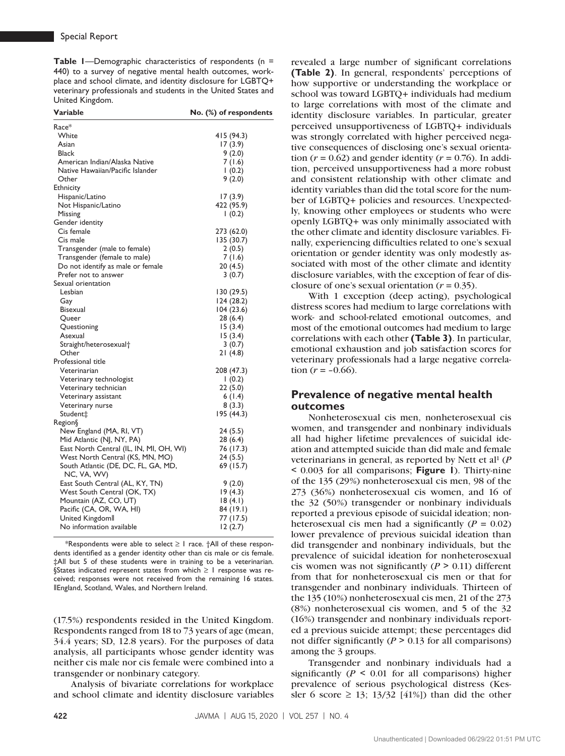**Table 1**—Demographic characteristics of respondents (n = 440) to a survey of negative mental health outcomes, workplace and school climate, and identity disclosure for LGBTQ+ veterinary professionals and students in the United States and United Kingdom.

| Variable                                           | No. (%) of respondents |
|----------------------------------------------------|------------------------|
| Race*                                              |                        |
| White                                              | 415 (94.3)             |
| Asian                                              | 17(3.9)                |
| Black                                              | 9(2.0)                 |
| American Indian/Alaska Native                      | 7(1.6)                 |
| Native Hawaiian/Pacific Islander                   | 1(0.2)                 |
| Other                                              | 9(2.0)                 |
| Ethnicity                                          |                        |
| Hispanic/Latino                                    | 17 (3.9)               |
| Not Hispanic/Latino                                | 422 (95.9)             |
| Missing                                            | 1(0.2)                 |
| Gender identity                                    |                        |
| Cis female                                         | 273 (62.0)             |
| Cis male                                           | 135 (30.7)             |
| Transgender (male to female)                       | 2(0.5)                 |
| Transgender (female to male)                       | 7 (1.6)                |
| Do not identify as male or female                  | 20 (4.5)               |
| Prefer not to answer                               | 3(0.7)                 |
| Sexual orientation                                 |                        |
| Lesbian                                            | 130 (29.5)             |
| Gay                                                | 124(28.2)              |
| Bisexual                                           | 104(23.6)              |
| Queer                                              | 28 (6.4)               |
| Questioning                                        | 15(3.4)                |
| Asexual                                            | 15(3.4)                |
| Straight/heterosexual†                             | 3(0.7)                 |
| Other                                              | 21(4.8)                |
| Professional title                                 |                        |
| Veterinarian                                       | 208 (47.3)             |
| Veterinary technologist                            | 1(0.2)                 |
| Veterinary technician                              | 22 (5.0)               |
| Veterinary assistant                               | 6(1.4)                 |
| Veterinary nurse                                   | 8(3.3)                 |
| Student‡                                           | 195 (44.3)             |
| Region§                                            |                        |
| New England (MA, RI, VT)                           | 24 (5.5)               |
| Mid Atlantic (NJ, NY, PA)                          | 28 (6.4)               |
| East North Central (IL, IN, MI, OH, WI)            | 76 (17.3)              |
| West North Central (KS, MN, MO)                    | 24(5.5)                |
| South Atlantic (DE, DC, FL, GA, MD,<br>NC, VA, WV) | 69 (15.7)              |
| East South Central (AL, KY, TN)                    | 9(2.0)                 |
| West South Central (OK, TX)                        | 19(4.3)                |
| Mountain (AZ, CO, UT)                              | 18(4.1)                |
| Pacific (CA, OR, WA, HI)                           | 84 (19.1)              |
| United Kingdomll                                   | 77 (17.5)              |
| No information available                           | 12(2.7)                |
|                                                    |                        |

\*Respondents were able to select ≥ 1 race. †All of these respondents identified as a gender identity other than cis male or cis female. ‡All but 5 of these students were in training to be a veterinarian. §States indicated represent states from which ≥ 1 response was received; responses were not received from the remaining 16 states. ‖England, Scotland, Wales, and Northern Ireland.

(17.5%) respondents resided in the United Kingdom. Respondents ranged from 18 to 73 years of age (mean, 34.4 years; SD, 12.8 years). For the purposes of data analysis, all participants whose gender identity was neither cis male nor cis female were combined into a transgender or nonbinary category.

Analysis of bivariate correlations for workplace and school climate and identity disclosure variables

revealed a large number of significant correlations **(Table 2)**. In general, respondents' perceptions of how supportive or understanding the workplace or school was toward LGBTQ+ individuals had medium to large correlations with most of the climate and identity disclosure variables. In particular, greater perceived unsupportiveness of LGBTQ+ individuals was strongly correlated with higher perceived negative consequences of disclosing one's sexual orientation  $(r = 0.62)$  and gender identity  $(r = 0.76)$ . In addition, perceived unsupportiveness had a more robust and consistent relationship with other climate and identity variables than did the total score for the number of LGBTQ+ policies and resources. Unexpectedly, knowing other employees or students who were openly LGBTQ+ was only minimally associated with the other climate and identity disclosure variables. Finally, experiencing difficulties related to one's sexual orientation or gender identity was only modestly associated with most of the other climate and identity disclosure variables, with the exception of fear of disclosure of one's sexual orientation  $(r = 0.35)$ .

With 1 exception (deep acting), psychological distress scores had medium to large correlations with work- and school-related emotional outcomes, and most of the emotional outcomes had medium to large correlations with each other **(Table 3)**. In particular, emotional exhaustion and job satisfaction scores for veterinary professionals had a large negative correlation  $(r = -0.66)$ .

### **Prevalence of negative mental health outcomes**

Nonheterosexual cis men, nonheterosexual cis women, and transgender and nonbinary individuals all had higher lifetime prevalences of suicidal ideation and attempted suicide than did male and female veterinarians in general, as reported by Nett et al<sup>1</sup> (*P* < 0.003 for all comparisons; **Figure 1**). Thirty-nine of the 135 (29%) nonheterosexual cis men, 98 of the 273 (36%) nonheterosexual cis women, and 16 of the 32 (50%) transgender or nonbinary individuals reported a previous episode of suicidal ideation; nonheterosexual cis men had a significantly  $(P = 0.02)$ lower prevalence of previous suicidal ideation than did transgender and nonbinary individuals, but the prevalence of suicidal ideation for nonheterosexual cis women was not significantly  $(P > 0.11)$  different from that for nonheterosexual cis men or that for transgender and nonbinary individuals. Thirteen of the 135 (10%) nonheterosexual cis men, 21 of the 273 (8%) nonheterosexual cis women, and 5 of the 32 (16%) transgender and nonbinary individuals reported a previous suicide attempt; these percentages did not differ significantly ( $P > 0.13$  for all comparisons) among the 3 groups.

Transgender and nonbinary individuals had a significantly ( $P \le 0.01$  for all comparisons) higher prevalence of serious psychological distress (Kessler 6 score  $\geq$  13; 13/32 [41%]) than did the other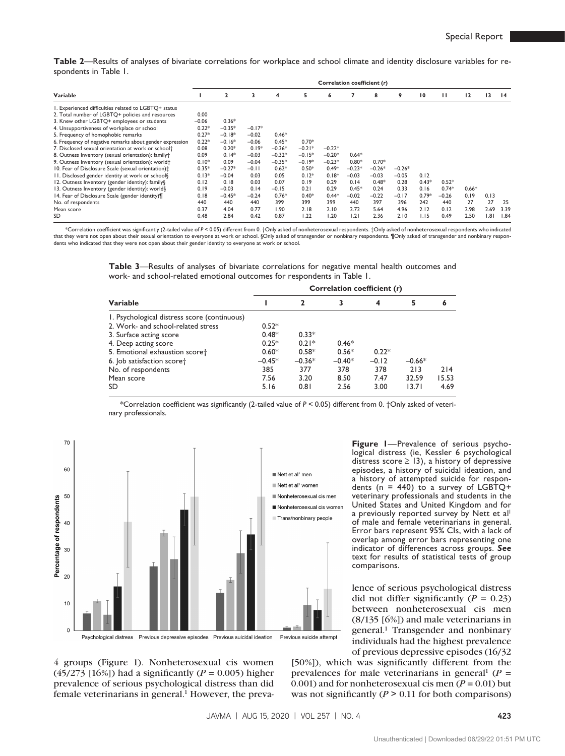**Table 2**—Results of analyses of bivariate correlations for workplace and school climate and identity disclosure variables for respondents in Table 1.

|                                                               | Correlation coefficient (r) |              |          |          |          |          |          |          |          |                 |         |         |                 |                 |
|---------------------------------------------------------------|-----------------------------|--------------|----------|----------|----------|----------|----------|----------|----------|-----------------|---------|---------|-----------------|-----------------|
| Variable                                                      |                             | $\mathbf{2}$ | 3        | 4        | 5        | 6        |          | 8        | 9        | $\overline{10}$ | ш       | 12      | $\overline{13}$ | $\overline{14}$ |
| I. Experienced difficulties related to LGBTQ+ status          |                             |              |          |          |          |          |          |          |          |                 |         |         |                 |                 |
| 2. Total number of LGBTQ+ policies and resources              | 0.00                        |              |          |          |          |          |          |          |          |                 |         |         |                 |                 |
| 3. Knew other LGBTQ+ employees or students                    | $-0.06$                     | $0.36*$      |          |          |          |          |          |          |          |                 |         |         |                 |                 |
| 4. Unsupportiveness of workplace or school                    | $0.22*$                     | $-0.35*$     | $-0.17*$ |          |          |          |          |          |          |                 |         |         |                 |                 |
| 5. Frequency of homophobic remarks                            | $0.27*$                     | $-0.18*$     | $-0.02$  | $0.46*$  |          |          |          |          |          |                 |         |         |                 |                 |
| 6. Frequency of negative remarks about gender expression      | $0.22*$                     | $-0.16*$     | $-0.06$  | $0.45*$  | $0.70*$  |          |          |          |          |                 |         |         |                 |                 |
| 7. Disclosed sexual orientation at work or school†            | 0.08                        | $0.20*$      | $0.19*$  | $-0.36*$ | $-0.21*$ | $-0.22*$ |          |          |          |                 |         |         |                 |                 |
| 8. Outness Inventory (sexual orientation): family+            | 0.09                        | $0.14*$      | $-0.03$  | $-0.32*$ | $-0.15*$ | $-0.20*$ | $0.64*$  |          |          |                 |         |         |                 |                 |
| 9. Outness Inventory (sexual orientation): world <sup>+</sup> | $0.10*$                     | 0.09         | $-0.04$  | $-0.35*$ | $-0.19*$ | $-0.23*$ | $0.80*$  | $0.70*$  |          |                 |         |         |                 |                 |
| 10. Fear of Disclosure Scale (sexual orientation):            | $0.35*$                     | $-0.27*$     | $-0.11$  | $0.62*$  | $0.50*$  | $0.49*$  | $-0.23*$ | $-0.26*$ | $-0.26*$ |                 |         |         |                 |                 |
| 11. Disclosed gender identity at work or school               | $0.13*$                     | $-0.04$      | 0.03     | 0.05     | $0.12*$  | $0.18*$  | $-0.03$  | $-0.03$  | $-0.05$  | 0.12            |         |         |                 |                 |
| 12. Outness Inventory (gender identity): family§              | 0.12                        | 0.18         | 0.03     | 0.07     | 0.19     | 0.29     | 0.14     | $0.48*$  | 0.28     | $0.43*$         | $0.52*$ |         |                 |                 |
| 13. Outness Inventory (gender identity): world§               | 0.19                        | $-0.03$      | 0.14     | $-0.15$  | 0.21     | 0.29     | $0.45*$  | 0.24     | 0.33     | 0.16            | $0.74*$ | $0.66*$ |                 |                 |
| 14. Fear of Disclosure Scale (gender identity)¶               | 0.18                        | $-0.45*$     | $-0.24$  | $0.76*$  | $0.40*$  | $0.44*$  | $-0.02$  | $-0.22$  | $-0.17$  | $0.79*$         | $-0.26$ | 0.19    | 0.13            |                 |
| No. of respondents                                            | 440                         | 440          | 440      | 399      | 399      | 399      | 440      | 397      | 396      | 242             | 440     | 27      | 27              | 25              |
| Mean score                                                    | 0.37                        | 4.04         | 0.77     | 1.90     | 2.18     | 2.10     | 2.72     | 5.64     | 4.96     | 2.12            | 0.12    | 2.98    | 2.69            | 3.39            |
| SD                                                            | 0.48                        | 2.84         | 0.42     | 0.87     | 1.22     | 1.20     | 1.21     | 2.36     | 2.10     | 1.15            | 0.49    | 2.50    | .81             | 1.84            |

\*Correlation coefficient was significantly (2-tailed value of *P* < 0.05) different from 0. †Only asked of nonheterosexual respondents. ‡Only asked of nonheterosexual respondents who indicated that they were not open about their sexual orientation to everyone at work or school. §Only asked of transgender or nonbinary respondents. ¶Only asked of transgender and nonbinary respondents who indicated that they were not open about their gender identity to everyone at work or school.

> **Table 3**—Results of analyses of bivariate correlations for negative mental health outcomes and work- and school-related emotional outcomes for respondents in Table 1.

|                                              | Correlation coefficient (r) |          |          |         |          |       |  |  |  |  |
|----------------------------------------------|-----------------------------|----------|----------|---------|----------|-------|--|--|--|--|
| Variable                                     |                             | 2        |          | 4       | 5        | 6     |  |  |  |  |
| I. Psychological distress score (continuous) |                             |          |          |         |          |       |  |  |  |  |
| 2. Work- and school-related stress           | $0.52*$                     |          |          |         |          |       |  |  |  |  |
| 3. Surface acting score                      | $0.48*$                     | $0.33*$  |          |         |          |       |  |  |  |  |
| 4. Deep acting score                         | $0.25*$                     | $0.21*$  | $0.46*$  |         |          |       |  |  |  |  |
| 5. Emotional exhaustion scoret               | $0.60*$                     | $0.58*$  | $0.56*$  | $0.22*$ |          |       |  |  |  |  |
| 6. Job satisfaction scoret                   | $-0.45*$                    | $-0.36*$ | $-0.40*$ | $-0.12$ | $-0.66*$ |       |  |  |  |  |
| No. of respondents                           | 385                         | 377      | 378      | 378     | 213      | 214   |  |  |  |  |
| Mean score                                   | 7.56                        | 3.20     | 8.50     | 7.47    | 32.59    | 15.53 |  |  |  |  |
| SD                                           | 5.16                        | 0.81     | 2.56     | 3.00    | 13.71    | 4.69  |  |  |  |  |

\*Correlation coefficient was significantly (2-tailed value of *P* < 0.05) different from 0. †Only asked of veterinary professionals.



**Figure 1**—Prevalence of serious psychological distress (ie, Kessler 6 psychological distress score  $\geq$  13), a history of depressive episodes, a history of suicidal ideation, and a history of attempted suicide for respondents  $(n = 440)$  to a survey of LGBTQ+ veterinary professionals and students in the United States and United Kingdom and for a previously reported survey by Nett et all of male and female veterinarians in general. Error bars represent 95% CIs, with a lack of overlap among error bars representing one indicator of differences across groups. *See* text for results of statistical tests of group comparisons.

lence of serious psychological distress did not differ significantly  $(P = 0.23)$ between nonheterosexual cis men (8/135 [6%]) and male veterinarians in general.<sup>1</sup> Transgender and nonbinary individuals had the highest prevalence of previous depressive episodes (16/32

4 groups (Figure 1). Nonheterosexual cis women (45/273 [16%]) had a significantly (*P* = 0.005) higher prevalence of serious psychological distress than did female veterinarians in general.<sup>1</sup> However, the preva-

[50%]), which was significantly different from the prevalences for male veterinarians in general<sup>1</sup> ( $P =$ 0.001) and for nonheterosexual cis men  $(P = 0.01)$  but was not significantly  $(P > 0.11$  for both comparisons)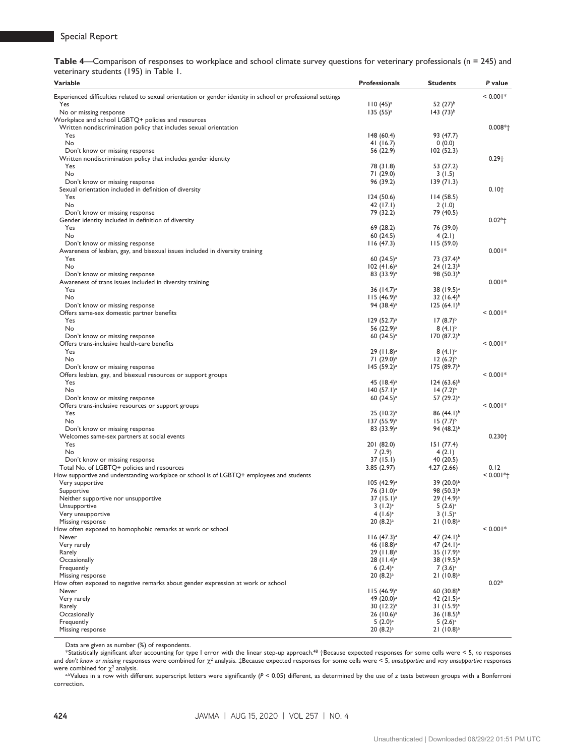|                                       |  |  | Table 4—Comparison of responses to workplace and school climate survey questions for veterinary professionals ( $n = 245$ ) and |  |  |  |  |
|---------------------------------------|--|--|---------------------------------------------------------------------------------------------------------------------------------|--|--|--|--|
| veterinary students (195) in Table 1. |  |  |                                                                                                                                 |  |  |  |  |

| Variable                                                                                                        | <b>Professionals</b>      | <b>Students</b>        | P value      |
|-----------------------------------------------------------------------------------------------------------------|---------------------------|------------------------|--------------|
| Experienced difficulties related to sexual orientation or gender identity in school or professional settings    |                           |                        | $< 0.001*$   |
| Yes                                                                                                             | $110(45)^{a}$             | 52 $(27)^{b}$          |              |
| No or missing response                                                                                          | $135(55)^a$               | $143 (73)^{b}$         |              |
| Workplace and school LGBTQ+ policies and resources                                                              |                           |                        |              |
| Written nondiscrimination policy that includes sexual orientation                                               |                           |                        | $0.008*$     |
| Yes                                                                                                             | 148(60.4)                 | 93 (47.7)              |              |
| No                                                                                                              | 41 $(16.7)$               | 0(0.0)                 |              |
| Don't know or missing response<br>Written nondiscrimination policy that includes gender identity                | 56 (22.9)                 | 102(52.3)              | $0.29+$      |
| Yes                                                                                                             | 78 (31.8)                 | 53 (27.2)              |              |
| No                                                                                                              | 71 (29.0)                 | 3(1.5)                 |              |
| Don't know or missing response                                                                                  | 96 (39.2)                 | 139(71.3)              |              |
| Sexual orientation included in definition of diversity                                                          |                           |                        | $0.10+$      |
| Yes                                                                                                             | 124 (50.6)                | 114(58.5)              |              |
| No                                                                                                              | 42 (17.1)                 | 2(1.0)                 |              |
| Don't know or missing response                                                                                  | 79 (32.2)                 | 79 (40.5)              |              |
| Gender identity included in definition of diversity                                                             |                           |                        | $0.02*$      |
| Yes                                                                                                             | 69 (28.2)                 | 76 (39.0)              |              |
| No                                                                                                              | 60(24.5)                  | 4(2.1)                 |              |
| Don't know or missing response<br>Awareness of lesbian, gay, and bisexual issues included in diversity training | 116(47.3)                 | 115(59.0)              | $0.001*$     |
| Yes                                                                                                             | 60 $(24.5)^a$             | 73 (37.4) <sup>b</sup> |              |
| No                                                                                                              | $102 (41.6)^a$            | $24 (12.3)^{b}$        |              |
| Don't know or missing response                                                                                  | $83(33.9)^a$              | 98 $(50.3)^{b}$        |              |
| Awareness of trans issues included in diversity training                                                        |                           |                        | $0.001*$     |
| Yes                                                                                                             | 36 $(14.7)^a$             | 38 (19.5) <sup>a</sup> |              |
| No                                                                                                              | $115 (46.9)^a$            | $32 (16.4)^{b}$        |              |
| Don't know or missing response                                                                                  | 94 (38.4) <sup>a</sup>    | $125(64.1)^{b}$        |              |
| Offers same-sex domestic partner benefits                                                                       |                           |                        | $< 0.001*$   |
| Yes                                                                                                             | 129(52.7) <sup>a</sup>    | $17(8.7)^{b}$          |              |
| No                                                                                                              | 56 (22.9) <sup>a</sup>    | $(4.1)^{b}$            |              |
| Don't know or missing response<br>Offers trans-inclusive health-care benefits                                   | 60 $(24.5)^a$             | $170 (87.2)^{b}$       | $< 0.001*$   |
| Yes                                                                                                             | $29 (11.8)^a$             | $(4.1)^{b}$            |              |
| No                                                                                                              | 71 (29.0) <sup>a</sup>    | $12(6.2)^{b}$          |              |
| Don't know or missing response                                                                                  | $145 (59.2)^a$            | $175(89.7)^{b}$        |              |
| Offers lesbian, gay, and bisexual resources or support groups                                                   |                           |                        | $< 0.001*$   |
| Yes                                                                                                             | 45 $(18.4)^a$             | $124 (63.6)^{b}$       |              |
| No                                                                                                              | 140 (57.1) <sup>a</sup>   | $14(7.2)^{b}$          |              |
| Don't know or missing response                                                                                  | 60 $(24.5)^a$             | 57 (29.2) <sup>a</sup> |              |
| Offers trans-inclusive resources or support groups                                                              |                           |                        | $< 0.001*$   |
| Yes                                                                                                             | $25 (10.2)^a$             | 86 $(44.1)^b$          |              |
| No                                                                                                              | 137 (55.9) <sup>a</sup>   | $15(7.7)^{b}$          |              |
| Don't know or missing response                                                                                  | $83(33.9)^a$              | 94 $(48.2)^{b}$        | $0.230 +$    |
| Welcomes same-sex partners at social events<br>Yes                                                              | 201 (82.0)                | 151 (77.4)             |              |
| No                                                                                                              | 7(2.9)                    | 4(2.1)                 |              |
| Don't know or missing response                                                                                  | 37 (15.1)                 | 40 (20.5)              |              |
| Total No. of LGBTQ+ policies and resources                                                                      | 3.85(2.97)                | 4.27(2.66)             | 0.12         |
| How supportive and understanding workplace or school is of LGBTQ+ employees and students                        |                           |                        | $< 0.001$ *± |
| Very supportive                                                                                                 | $105 (42.9)$ <sup>a</sup> | 39 (20.0) <sup>b</sup> |              |
| Supportive                                                                                                      | 76 (31.0) <sup>a</sup>    | 98 (50.3) <sup>b</sup> |              |
| Neither supportive nor unsupportive                                                                             | $37 (15.1)^a$             | $29(14.9)^a$           |              |
| Unsupportive                                                                                                    | $3(1.2)^a$                | $5(2.6)$ <sup>a</sup>  |              |
| Very unsupportive                                                                                               | $4(1.6)^a$                | $3(1.5)^a$             |              |
| Missing response<br>How often exposed to homophobic remarks at work or school                                   | $20(8.2)^a$               | $21(10.8)^a$           | $< 0.001*$   |
| Never                                                                                                           | 116 (47.3) <sup>a</sup>   | 47 $(24.1)^{b}$        |              |
| Very rarely                                                                                                     | 46 $(18.8)^a$             | 47 $(24.1)^a$          |              |
| Rarely                                                                                                          | $29 (11.8)^a$             | 35 (17.9) <sup>a</sup> |              |
| Occasionally                                                                                                    | $28 (11.4)$ <sup>a</sup>  | 38 $(19.5)^{b}$        |              |
| Frequently                                                                                                      | 6 $(2.4)$ <sup>a</sup>    | $7(3.6)^a$             |              |
| Missing response                                                                                                | $20(8.2)^a$               | $21(10.8)^a$           |              |
| How often exposed to negative remarks about gender expression at work or school                                 |                           |                        | $0.02*$      |
| Never                                                                                                           | $115 (46.9)^a$            | 60 $(30.8)^{b}$        |              |
| Very rarely                                                                                                     | 49 (20.0) <sup>a</sup>    | 42 $(21.5)^a$          |              |
| Rarely                                                                                                          | 30 $(12.2)^a$             | $31 (15.9)^a$          |              |
| Occasionally                                                                                                    | $26 (10.6)^a$             | 36 $(18.5)^{b}$        |              |
| Frequently                                                                                                      | $5(2.0)$ <sup>a</sup>     | $5(2.6)^a$             |              |
| Missing response                                                                                                | $20(8.2)^a$               | $21(10.8)^a$           |              |

Data are given as number (%) of respondents.

\*Statistically significant after accounting for type I error with the linear step-up approach.48 †Because expected responses for some cells were < 5, *no* responses and don't know or missing responses were combined for χ<sup>2</sup> analysis. ‡Because expected responses for some cells were < 5, *unsupportive* and *very unsupportive* responses were combined for  $\chi^2$  analysis.

a.bValues in a row with different superscript letters were significantly (*P* < 0.05) different, as determined by the use of *z* tests between groups with a Bonferroni correction.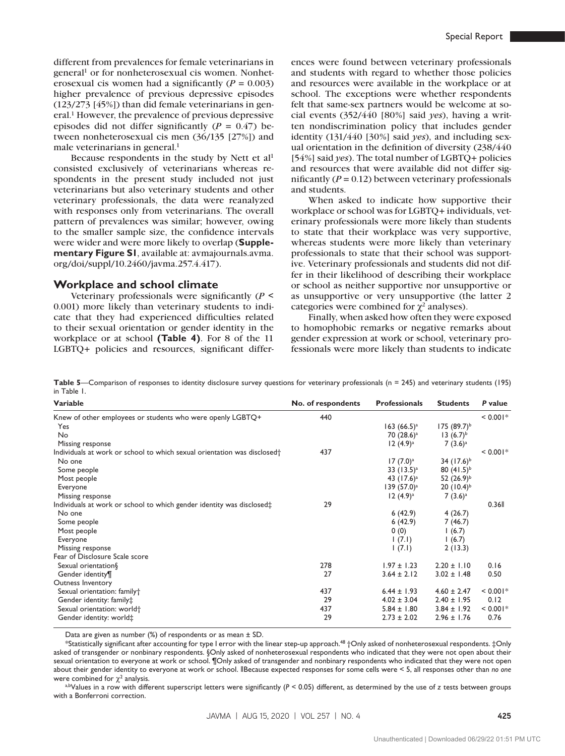different from prevalences for female veterinarians in general<sup>1</sup> or for nonheterosexual cis women. Nonheterosexual cis women had a significantly  $(P = 0.003)$ higher prevalence of previous depressive episodes (123/273 [45%]) than did female veterinarians in general.1 However, the prevalence of previous depressive episodes did not differ significantly  $(P = 0.47)$  between nonheterosexual cis men (36/135 [27%]) and male veterinarians in general.<sup>1</sup>

Because respondents in the study by Nett et al<sup>1</sup> consisted exclusively of veterinarians whereas respondents in the present study included not just veterinarians but also veterinary students and other veterinary professionals, the data were reanalyzed with responses only from veterinarians. The overall pattern of prevalences was similar; however, owing to the smaller sample size, the confidence intervals were wider and were more likely to overlap (**Supplementary Figure S1**, available at: [avmajournals.avma.](http://avmajournals.avma.org/doi/suppl/10.2460/javma.257.4.417) [org/doi/suppl/10.2460/javma.257.4.417](http://avmajournals.avma.org/doi/suppl/10.2460/javma.257.4.417)).

#### **Workplace and school climate**

Veterinary professionals were significantly (*P* < 0.001) more likely than veterinary students to indicate that they had experienced difficulties related to their sexual orientation or gender identity in the workplace or at school **(Table 4)**. For 8 of the 11 LGBTQ+ policies and resources, significant differ-

ences were found between veterinary professionals and students with regard to whether those policies and resources were available in the workplace or at school. The exceptions were whether respondents felt that same-sex partners would be welcome at social events (352/440 [80%] said *yes*), having a written nondiscrimination policy that includes gender identity (131/440 [30%] said *yes*), and including sexual orientation in the definition of diversity (238/440 [54%] said *yes*). The total number of LGBTQ+ policies and resources that were available did not differ significantly  $(P = 0.12)$  between veterinary professionals and students.

When asked to indicate how supportive their workplace or school was for LGBTQ+ individuals, veterinary professionals were more likely than students to state that their workplace was very supportive, whereas students were more likely than veterinary professionals to state that their school was supportive. Veterinary professionals and students did not differ in their likelihood of describing their workplace or school as neither supportive nor unsupportive or as unsupportive or very unsupportive (the latter 2 categories were combined for  $\chi^2$  analyses).

Finally, when asked how often they were exposed to homophobic remarks or negative remarks about gender expression at work or school, veterinary professionals were more likely than students to indicate

Table 5—Comparison of responses to identity disclosure survey questions for veterinary professionals (n = 245) and veterinary students (195) in Table 1.

| Variable                                                                             | No. of respondents | <b>Professionals</b> | <b>Students</b>  | P value    |
|--------------------------------------------------------------------------------------|--------------------|----------------------|------------------|------------|
| Knew of other employees or students who were openly LGBTQ+                           | 440                |                      |                  | $< 0.001*$ |
| Yes                                                                                  |                    | $163 (66.5)^a$       | $175 (89.7)^{b}$ |            |
| No                                                                                   |                    | 70 $(28.6)^a$        | 13 $(6.7)^b$     |            |
| Missing response                                                                     |                    | $12(4.9)^a$          | $7(3.6)^a$       |            |
| Individuals at work or school to which sexual orientation was disclosed <sup>+</sup> | 437                |                      |                  | $< 0.001*$ |
| No one                                                                               |                    | $17(7.0)^a$          | 34 $(17.6)^b$    |            |
| Some people                                                                          |                    | 33 $(13.5)^{a}$      | 80 $(41.5)^{b}$  |            |
| Most people                                                                          |                    | 43 $(17.6)^a$        | 52 $(26.9)^{b}$  |            |
| Everyone                                                                             |                    | $139(57.0)^a$        | $20 (10.4)^{b}$  |            |
| Missing response                                                                     |                    | $12(4.9)^a$          | $7(3.6)^a$       |            |
| Individuals at work or school to which gender identity was disclosed $\ddagger$      | 29                 |                      |                  | 0.36       |
| No one                                                                               |                    | 6(42.9)              | 4(26.7)          |            |
| Some people                                                                          |                    | 6(42.9)              | 7(46.7)          |            |
| Most people                                                                          |                    | 0(0)                 | 1(6.7)           |            |
| Everyone                                                                             |                    | (7.1)                | 1(6.7)           |            |
| Missing response                                                                     |                    | (7.1)                | 2(13.3)          |            |
| Fear of Disclosure Scale score                                                       |                    |                      |                  |            |
| Sexual orientation§                                                                  | 278                | $1.97 \pm 1.23$      | $2.20 \pm 1.10$  | 0.16       |
| Gender identity¶                                                                     | 27                 | $3.64 \pm 2.12$      | $3.02 \pm 1.48$  | 0.50       |
| Outness Inventory                                                                    |                    |                      |                  |            |
| Sexual orientation: family+                                                          | 437                | $6.44 \pm 1.93$      | $4.60 \pm 2.47$  | $< 0.001*$ |
| Gender identity: family <sup>+</sup>                                                 | 29                 | $4.02 \pm 3.04$      | $2.40 \pm 1.95$  | 0.12       |
| Sexual orientation: world <sup>+</sup>                                               | 437                | $5.84 \pm 1.80$      | $3.84 \pm 1.92$  | $< 0.001*$ |
| Gender identity: world $\ddagger$                                                    | 29                 | $2.73 \pm 2.02$      | $2.96 \pm 1.76$  | 0.76       |

Data are given as number  $%$  of respondents or as mean  $\pm$  SD.

\*Statistically significant after accounting for type I error with the linear step-up approach.48 †Only asked of nonheterosexual respondents. ‡Only asked of transgender or nonbinary respondents. §Only asked of nonheterosexual respondents who indicated that they were not open about their sexual orientation to everyone at work or school. ¶Only asked of transgender and nonbinary respondents who indicated that they were not open about their gender identity to everyone at work or school. ‖Because expected responses for some cells were < 5, all responses other than *no one* were combined for  $\gamma^2$  analysis.

a,bValues in a row with different superscript letters were significantly (*P* < 0.05) different, as determined by the use of *z* tests between groups with a Bonferroni correction.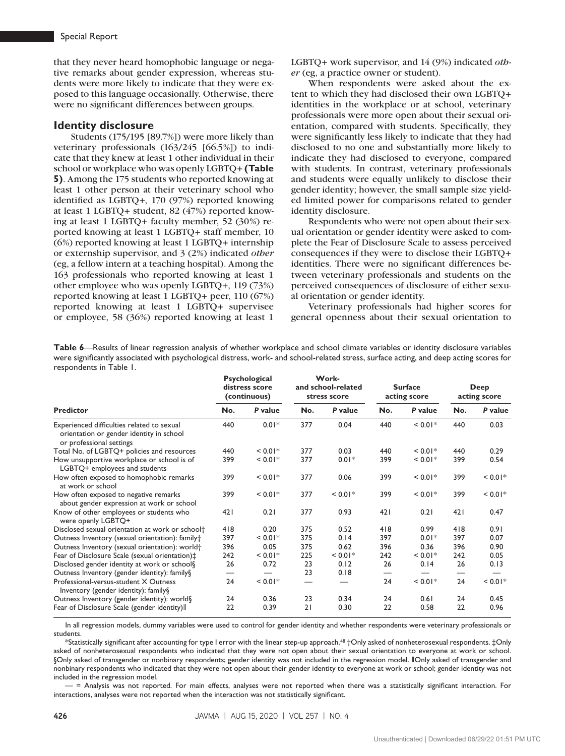that they never heard homophobic language or negative remarks about gender expression, whereas students were more likely to indicate that they were exposed to this language occasionally. Otherwise, there were no significant differences between groups.

#### **Identity disclosure**

Students (175/195 [89.7%]) were more likely than veterinary professionals (163/245 [66.5%]) to indicate that they knew at least 1 other individual in their school or workplace who was openly LGBTQ+ **(Table 5)**. Among the 175 students who reported knowing at least 1 other person at their veterinary school who identified as LGBTQ+, 170 (97%) reported knowing at least 1 LGBTQ+ student, 82 (47%) reported knowing at least 1 LGBTQ+ faculty member, 52 (30%) reported knowing at least 1 LGBTQ+ staff member, 10 (6%) reported knowing at least 1 LGBTQ+ internship or externship supervisor, and 3 (2%) indicated *other* (eg, a fellow intern at a teaching hospital). Among the 163 professionals who reported knowing at least 1 other employee who was openly LGBTQ+, 119 (73%) reported knowing at least 1 LGBTQ+ peer, 110 (67%) reported knowing at least 1 LGBTQ+ supervisee or employee, 58 (36%) reported knowing at least 1

LGBTQ+ work supervisor, and 14 (9%) indicated *other* (eg, a practice owner or student).

When respondents were asked about the extent to which they had disclosed their own LGBTQ+ identities in the workplace or at school, veterinary professionals were more open about their sexual orientation, compared with students. Specifically, they were significantly less likely to indicate that they had disclosed to no one and substantially more likely to indicate they had disclosed to everyone, compared with students. In contrast, veterinary professionals and students were equally unlikely to disclose their gender identity; however, the small sample size yielded limited power for comparisons related to gender identity disclosure.

Respondents who were not open about their sexual orientation or gender identity were asked to complete the Fear of Disclosure Scale to assess perceived consequences if they were to disclose their LGBTQ+ identities. There were no significant differences between veterinary professionals and students on the perceived consequences of disclosure of either sexual orientation or gender identity.

Veterinary professionals had higher scores for general openness about their sexual orientation to

**Table 6**—Results of linear regression analysis of whether workplace and school climate variables or identity disclosure variables were significantly associated with psychological distress, work- and school-related stress, surface acting, and deep acting scores for respondents in Table 1.

|                                                                                                                    | Psychological<br>distress score<br>(continuous) |           | Work-<br>and school-related<br>stress score |           | <b>Surface</b><br>acting score |              | Deep<br>acting score |             |
|--------------------------------------------------------------------------------------------------------------------|-------------------------------------------------|-----------|---------------------------------------------|-----------|--------------------------------|--------------|----------------------|-------------|
| <b>Predictor</b>                                                                                                   | No.                                             | P value   | No.                                         | P value   | No.                            | P value      | No.                  | P value     |
| Experienced difficulties related to sexual<br>orientation or gender identity in school<br>or professional settings | 440                                             | $0.01*$   | 377                                         | 0.04      | 440                            | ${}< 0.01*$  | 440                  | 0.03        |
| Total No. of LGBTQ+ policies and resources                                                                         | 440                                             | $< 0.01*$ | 377                                         | 0.03      | 440                            | ${}_{0.01*}$ | 440                  | 0.29        |
| How unsupportive workplace or school is of<br>LGBTQ+ employees and students                                        | 399                                             | $< 0.01*$ | 377                                         | $0.01*$   | 399                            | ${}< 0.01*$  | 399                  | 0.54        |
| How often exposed to homophobic remarks<br>at work or school                                                       | 399                                             | $< 0.01*$ | 377                                         | 0.06      | 399                            | ${}< 0.01*$  | 399                  | ${}< 0.01*$ |
| How often exposed to negative remarks<br>about gender expression at work or school                                 | 399                                             | $< 0.01*$ | 377                                         | $< 0.01*$ | 399                            | $< 0.01*$    | 399                  | $< 0.01*$   |
| Know of other employees or students who<br>were openly LGBTQ+                                                      | 421                                             | 0.21      | 377                                         | 0.93      | 421                            | 0.21         | 421                  | 0.47        |
| Disclosed sexual orientation at work or school <sup>+</sup>                                                        | 418                                             | 0.20      | 375                                         | 0.52      | 418                            | 0.99         | 418                  | 0.91        |
| Outness Inventory (sexual orientation): family†                                                                    | 397                                             | $< 0.01*$ | 375                                         | 0.14      | 397                            | $0.01*$      | 397                  | 0.07        |
| Outness Inventory (sexual orientation): world <sup>+</sup>                                                         | 396                                             | 0.05      | 375                                         | 0.62      | 396                            | 0.36         | 396                  | 0.90        |
| Fear of Disclosure Scale (sexual orientation):                                                                     | 242                                             | $< 0.01*$ | 225                                         | $< 0.01*$ | 242                            | $< 0.01*$    | 242                  | 0.05        |
| Disclosed gender identity at work or school§                                                                       | 26                                              | 0.72      | 23                                          | 0.12      | 26                             | 0.14         | 26                   | 0.13        |
| Outness Inventory (gender identity): family§                                                                       |                                                 |           | 23                                          | 0.18      |                                |              |                      |             |
| Professional-versus-student X Outness<br>Inventory (gender identity): family §                                     | 24                                              | $< 0.01*$ | —                                           |           | 24                             | ${}< 0.01*$  | 24                   | ${}< 0.01*$ |
| Outness Inventory (gender identity): world§                                                                        | 24                                              | 0.36      | 23                                          | 0.34      | 24                             | 0.61         | 24                   | 0.45        |
| Fear of Disclosure Scale (gender identity)                                                                         | 22                                              | 0.39      | 21                                          | 0.30      | 22                             | 0.58         | 22                   | 0.96        |

In all regression models, dummy variables were used to control for gender identity and whether respondents were veterinary professionals or students.

 $^*\!$ Statistically significant after accounting for type I error with the linear step-up approach. $^{48}$  †Only asked of nonheterosexual respondents. ‡Only asked of nonheterosexual respondents who indicated that they were not open about their sexual orientation to everyone at work or school. §Only asked of transgender or nonbinary respondents; gender identity was not included in the regression model. IOnly asked of transgender and nonbinary respondents who indicated that they were not open about their gender identity to everyone at work or school; gender identity was not included in the regression model.

— = Analysis was not reported. For main effects, analyses were not reported when there was a statistically significant interaction. For interactions, analyses were not reported when the interaction was not statistically significant.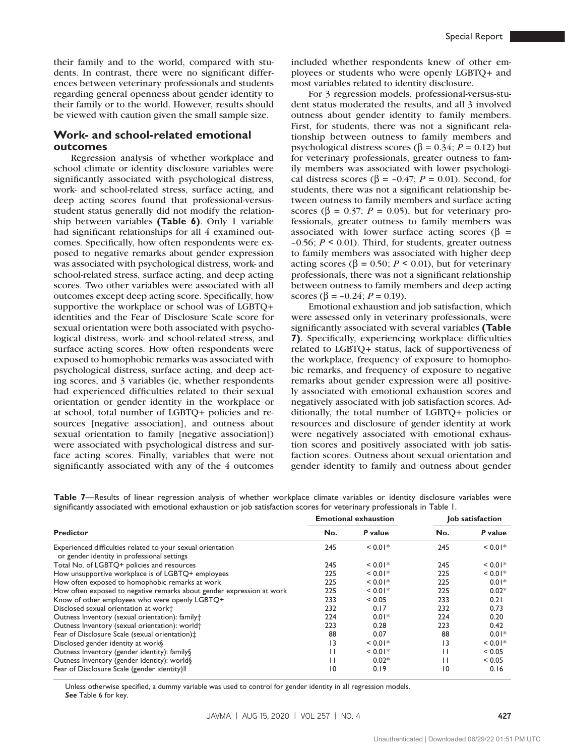their family and to the world, compared with students. In contrast, there were no significant differences between veterinary professionals and students regarding general openness about gender identity to their family or to the world. However, results should be viewed with caution given the small sample size.

### **Work- and school-related emotional outcomes**

Regression analysis of whether workplace and school climate or identity disclosure variables were significantly associated with psychological distress, work- and school-related stress, surface acting, and deep acting scores found that professional-versusstudent status generally did not modify the relationship between variables **(Table 6)**. Only 1 variable had significant relationships for all 4 examined outcomes. Specifically, how often respondents were exposed to negative remarks about gender expression was associated with psychological distress, work- and school-related stress, surface acting, and deep acting scores. Two other variables were associated with all outcomes except deep acting score. Specifically, how supportive the workplace or school was of LGBTQ+ identities and the Fear of Disclosure Scale score for sexual orientation were both associated with psychological distress, work- and school-related stress, and surface acting scores. How often respondents were exposed to homophobic remarks was associated with psychological distress, surface acting, and deep acting scores, and 3 variables (ie, whether respondents had experienced difficulties related to their sexual orientation or gender identity in the workplace or at school, total number of LGBTQ+ policies and resources [negative association], and outness about sexual orientation to family [negative association]) were associated with psychological distress and surface acting scores. Finally, variables that were not significantly associated with any of the 4 outcomes

included whether respondents knew of other employees or students who were openly LGBTQ+ and most variables related to identity disclosure.

For 3 regression models, professional-versus-student status moderated the results, and all 3 involved outness about gender identity to family members. First, for students, there was not a significant relationship between outness to family members and psychological distress scores (β = 0.34; *P* = 0.12) but for veterinary professionals, greater outness to family members was associated with lower psychological distress scores ( $\beta$  = -0.47; *P* = 0.01). Second, for students, there was not a significant relationship between outness to family members and surface acting scores ( $\beta$  = 0.37; *P* = 0.05), but for veterinary professionals, greater outness to family members was associated with lower surface acting scores ( $\beta$  =  $-0.56$ ;  $P \le 0.01$ ). Third, for students, greater outness to family members was associated with higher deep acting scores ( $β = 0.50$ ;  $P \le 0.01$ ), but for veterinary professionals, there was not a significant relationship between outness to family members and deep acting scores ( $\beta$  = -0.24; *P* = 0.19).

Emotional exhaustion and job satisfaction, which were assessed only in veterinary professionals, were significantly associated with several variables **(Table 7)**. Specifically, experiencing workplace difficulties related to LGBTQ+ status, lack of supportiveness of the workplace, frequency of exposure to homophobic remarks, and frequency of exposure to negative remarks about gender expression were all positively associated with emotional exhaustion scores and negatively associated with job satisfaction scores. Additionally, the total number of LGBTQ+ policies or resources and disclosure of gender identity at work were negatively associated with emotional exhaustion scores and positively associated with job satisfaction scores. Outness about sexual orientation and gender identity to family and outness about gender

**Table 7**—Results of linear regression analysis of whether workplace climate variables or identity disclosure variables were significantly associated with emotional exhaustion or job satisfaction scores for veterinary professionals in Table 1.

|                                                                                                            |                 | <b>Emotional exhaustion</b> | Job satisfaction |           |  |  |
|------------------------------------------------------------------------------------------------------------|-----------------|-----------------------------|------------------|-----------|--|--|
| <b>Predictor</b>                                                                                           | No.             | P value                     | No.              | P value   |  |  |
| Experienced difficulties related to your sexual orientation<br>or gender identity in professional settings | 245             | $< 0.01*$                   | 245              | $< 0.01*$ |  |  |
| Total No. of LGBTQ+ policies and resources                                                                 | 245             | $< 0.01*$                   | 245              | $< 0.01*$ |  |  |
| How unsupportive workplace is of LGBTQ+ employees                                                          | 225             | $< 0.01*$                   | 225              | $< 0.01*$ |  |  |
| How often exposed to homophobic remarks at work                                                            | 225             | $< 0.01*$                   | 225              | $0.01*$   |  |  |
| How often exposed to negative remarks about gender expression at work                                      | 225             | $< 0.01*$                   | 225              | $0.02*$   |  |  |
| Know of other employees who were openly LGBTQ+                                                             | 233             | < 0.05                      | 233              | 0.21      |  |  |
| Disclosed sexual orientation at work+                                                                      | 232             | 0.17                        | 232              | 0.73      |  |  |
| Outness Inventory (sexual orientation): family+                                                            | 224             | $0.01*$                     | 224              | 0.20      |  |  |
| Outness Inventory (sexual orientation): world <sup>+</sup>                                                 | 223             | 0.28                        | 223              | 0.42      |  |  |
| Fear of Disclosure Scale (sexual orientation):                                                             | 88              | 0.07                        | 88               | $0.01*$   |  |  |
| Disclosed gender identity at work§                                                                         | 3               | $< 0.01*$                   | 13               | $< 0.01*$ |  |  |
| Outness Inventory (gender identity): family§                                                               | П               | $< 0.01*$                   | п                | < 0.05    |  |  |
| Outness Inventory (gender identity): world§                                                                | П               | $0.02*$                     | п                | < 0.05    |  |  |
| Fear of Disclosure Scale (gender identity)                                                                 | $\overline{10}$ | 0.19                        | $\overline{0}$   | 0.16      |  |  |

Unless otherwise specified, a dummy variable was used to control for gender identity in all regression models. *See* Table 6 for key.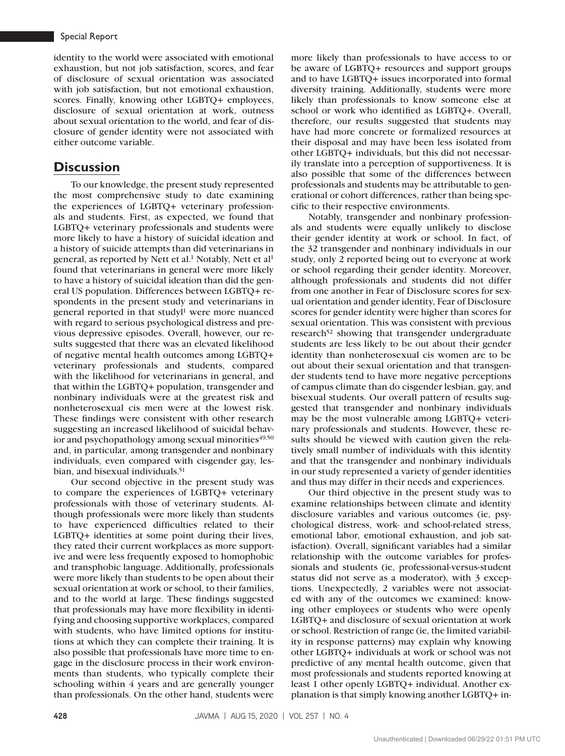#### Special Report

identity to the world were associated with emotional exhaustion, but not job satisfaction, scores, and fear of disclosure of sexual orientation was associated with job satisfaction, but not emotional exhaustion, scores. Finally, knowing other LGBTQ+ employees, disclosure of sexual orientation at work, outness about sexual orientation to the world, and fear of disclosure of gender identity were not associated with either outcome variable.

# **Discussion**

To our knowledge, the present study represented the most comprehensive study to date examining the experiences of LGBTQ+ veterinary professionals and students. First, as expected, we found that LGBTQ+ veterinary professionals and students were more likely to have a history of suicidal ideation and a history of suicide attempts than did veterinarians in general, as reported by Nett et al.<sup>1</sup> Notably, Nett et al<sup>1</sup> found that veterinarians in general were more likely to have a history of suicidal ideation than did the general US population. Differences between LGBTQ+ respondents in the present study and veterinarians in general reported in that studyl<sup>1</sup> were more nuanced with regard to serious psychological distress and previous depressive episodes. Overall, however, our results suggested that there was an elevated likelihood of negative mental health outcomes among LGBTQ+ veterinary professionals and students, compared with the likelihood for veterinarians in general, and that within the LGBTQ+ population, transgender and nonbinary individuals were at the greatest risk and nonheterosexual cis men were at the lowest risk. These findings were consistent with other research suggesting an increased likelihood of suicidal behavior and psychopathology among sexual minorities<sup>49,50</sup> and, in particular, among transgender and nonbinary individuals, even compared with cisgender gay, lesbian, and bisexual individuals.51

Our second objective in the present study was to compare the experiences of LGBTQ+ veterinary professionals with those of veterinary students. Although professionals were more likely than students to have experienced difficulties related to their LGBTQ+ identities at some point during their lives, they rated their current workplaces as more supportive and were less frequently exposed to homophobic and transphobic language. Additionally, professionals were more likely than students to be open about their sexual orientation at work or school, to their families, and to the world at large. These findings suggested that professionals may have more flexibility in identifying and choosing supportive workplaces, compared with students, who have limited options for institutions at which they can complete their training. It is also possible that professionals have more time to engage in the disclosure process in their work environments than students, who typically complete their schooling within 4 years and are generally younger than professionals. On the other hand, students were

more likely than professionals to have access to or be aware of LGBTQ+ resources and support groups and to have LGBTQ+ issues incorporated into formal diversity training. Additionally, students were more likely than professionals to know someone else at school or work who identified as LGBTQ+. Overall, therefore, our results suggested that students may have had more concrete or formalized resources at their disposal and may have been less isolated from other LGBTQ+ individuals, but this did not necessarily translate into a perception of supportiveness. It is also possible that some of the differences between professionals and students may be attributable to generational or cohort differences, rather than being specific to their respective environments.

Notably, transgender and nonbinary professionals and students were equally unlikely to disclose their gender identity at work or school. In fact, of the 32 transgender and nonbinary individuals in our study, only 2 reported being out to everyone at work or school regarding their gender identity. Moreover, although professionals and students did not differ from one another in Fear of Disclosure scores for sexual orientation and gender identity, Fear of Disclosure scores for gender identity were higher than scores for sexual orientation. This was consistent with previous research<sup>52</sup> showing that transgender undergraduate students are less likely to be out about their gender identity than nonheterosexual cis women are to be out about their sexual orientation and that transgender students tend to have more negative perceptions of campus climate than do cisgender lesbian, gay, and bisexual students. Our overall pattern of results suggested that transgender and nonbinary individuals may be the most vulnerable among LGBTQ+ veterinary professionals and students. However, these results should be viewed with caution given the relatively small number of individuals with this identity and that the transgender and nonbinary individuals in our study represented a variety of gender identities and thus may differ in their needs and experiences.

Our third objective in the present study was to examine relationships between climate and identity disclosure variables and various outcomes (ie, psychological distress, work- and school-related stress, emotional labor, emotional exhaustion, and job satisfaction). Overall, significant variables had a similar relationship with the outcome variables for professionals and students (ie, professional-versus-student status did not serve as a moderator), with 3 exceptions. Unexpectedly, 2 variables were not associated with any of the outcomes we examined: knowing other employees or students who were openly LGBTQ+ and disclosure of sexual orientation at work or school. Restriction of range (ie, the limited variability in response patterns) may explain why knowing other LGBTQ+ individuals at work or school was not predictive of any mental health outcome, given that most professionals and students reported knowing at least 1 other openly LGBTQ+ individual. Another explanation is that simply knowing another LGBTQ+ in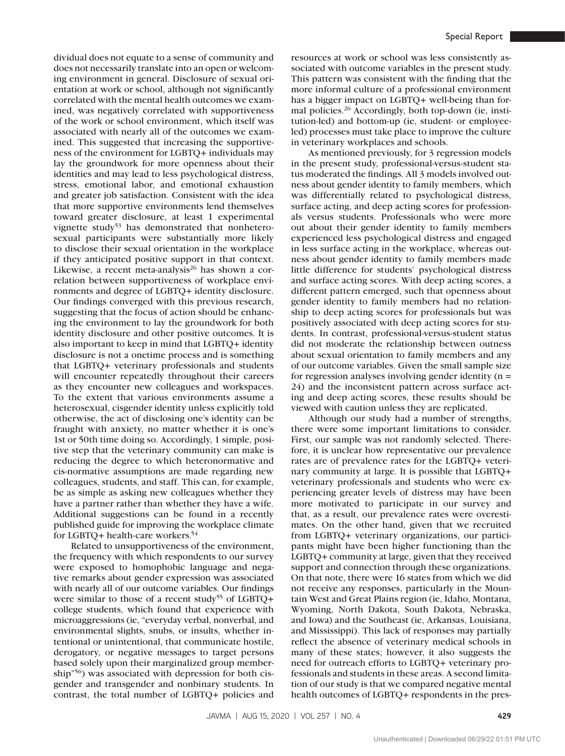dividual does not equate to a sense of community and does not necessarily translate into an open or welcoming environment in general. Disclosure of sexual orientation at work or school, although not significantly correlated with the mental health outcomes we examined, was negatively correlated with supportiveness of the work or school environment, which itself was associated with nearly all of the outcomes we examined. This suggested that increasing the supportiveness of the environment for LGBTQ+ individuals may lay the groundwork for more openness about their identities and may lead to less psychological distress, stress, emotional labor, and emotional exhaustion and greater job satisfaction. Consistent with the idea that more supportive environments lend themselves toward greater disclosure, at least 1 experimental vignette study<sup>53</sup> has demonstrated that nonheterosexual participants were substantially more likely to disclose their sexual orientation in the workplace if they anticipated positive support in that context. Likewise, a recent meta-analysis<sup>26</sup> has shown a correlation between supportiveness of workplace environments and degree of LGBTQ+ identity disclosure. Our findings converged with this previous research, suggesting that the focus of action should be enhancing the environment to lay the groundwork for both identity disclosure and other positive outcomes. It is also important to keep in mind that LGBTQ+ identity disclosure is not a onetime process and is something that LGBTQ+ veterinary professionals and students will encounter repeatedly throughout their careers as they encounter new colleagues and workspaces. To the extent that various environments assume a heterosexual, cisgender identity unless explicitly told otherwise, the act of disclosing one's identity can be fraught with anxiety, no matter whether it is one's 1st or 50th time doing so. Accordingly, 1 simple, positive step that the veterinary community can make is reducing the degree to which heteronormative and cis-normative assumptions are made regarding new colleagues, students, and staff. This can, for example, be as simple as asking new colleagues whether they have a partner rather than whether they have a wife. Additional suggestions can be found in a recently published guide for improving the workplace climate for LGBTQ+ health-care workers.54

Related to unsupportiveness of the environment, the frequency with which respondents to our survey were exposed to homophobic language and negative remarks about gender expression was associated with nearly all of our outcome variables. Our findings were similar to those of a recent study<sup>55</sup> of LGBTQ+ college students, which found that experience with microaggressions (ie, "everyday verbal, nonverbal, and environmental slights, snubs, or insults, whether intentional or unintentional, that communicate hostile, derogatory, or negative messages to target persons based solely upon their marginalized group membership"56) was associated with depression for both cisgender and transgender and nonbinary students. In contrast, the total number of LGBTQ+ policies and

resources at work or school was less consistently associated with outcome variables in the present study. This pattern was consistent with the finding that the more informal culture of a professional environment has a bigger impact on LGBTQ+ well-being than formal policies.<sup>26</sup> Accordingly, both top-down (ie, institution-led) and bottom-up (ie, student- or employeeled) processes must take place to improve the culture in veterinary workplaces and schools.

As mentioned previously, for 3 regression models in the present study, professional-versus-student status moderated the findings. All 3 models involved outness about gender identity to family members, which was differentially related to psychological distress, surface acting, and deep acting scores for professionals versus students. Professionals who were more out about their gender identity to family members experienced less psychological distress and engaged in less surface acting in the workplace, whereas outness about gender identity to family members made little difference for students' psychological distress and surface acting scores. With deep acting scores, a different pattern emerged, such that openness about gender identity to family members had no relationship to deep acting scores for professionals but was positively associated with deep acting scores for students. In contrast, professional-versus-student status did not moderate the relationship between outness about sexual orientation to family members and any of our outcome variables. Given the small sample size for regression analyses involving gender identity  $(n =$ 24) and the inconsistent pattern across surface acting and deep acting scores, these results should be viewed with caution unless they are replicated.

Although our study had a number of strengths, there were some important limitations to consider. First, our sample was not randomly selected. Therefore, it is unclear how representative our prevalence rates are of prevalence rates for the LGBTQ+ veterinary community at large. It is possible that LGBTQ+ veterinary professionals and students who were experiencing greater levels of distress may have been more motivated to participate in our survey and that, as a result, our prevalence rates were overestimates. On the other hand, given that we recruited from LGBTQ+ veterinary organizations, our participants might have been higher functioning than the LGBTQ+ community at large, given that they received support and connection through these organizations. On that note, there were 16 states from which we did not receive any responses, particularly in the Mountain West and Great Plains region (ie, Idaho, Montana, Wyoming, North Dakota, South Dakota, Nebraska, and Iowa) and the Southeast (ie, Arkansas, Louisiana, and Mississippi). This lack of responses may partially reflect the absence of veterinary medical schools in many of these states; however, it also suggests the need for outreach efforts to LGBTQ+ veterinary professionals and students in these areas. A second limitation of our study is that we compared negative mental health outcomes of LGBTQ+ respondents in the pres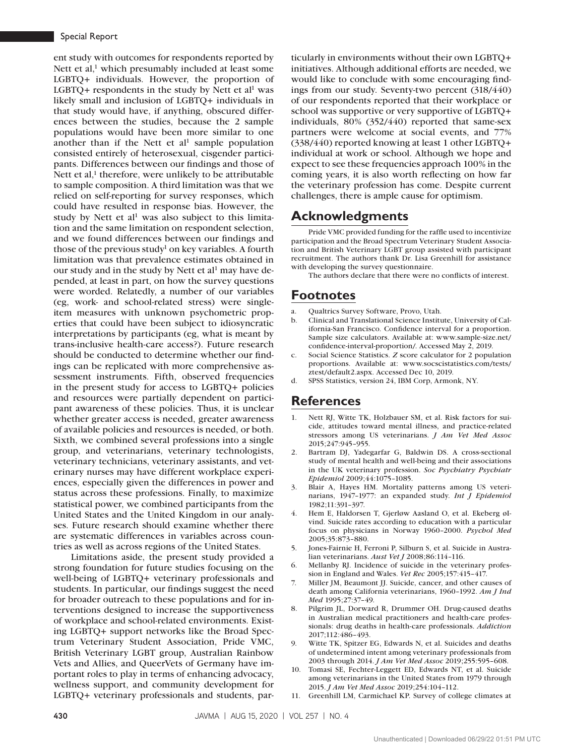ent study with outcomes for respondents reported by Nett et al, $<sup>1</sup>$  which presumably included at least some</sup> LGBTQ+ individuals. However, the proportion of LGBTQ+ respondents in the study by Nett et  $al<sup>1</sup>$  was likely small and inclusion of LGBTQ+ individuals in that study would have, if anything, obscured differences between the studies, because the 2 sample populations would have been more similar to one another than if the Nett et  $al<sup>1</sup>$  sample population consisted entirely of heterosexual, cisgender participants. Differences between our findings and those of Nett et al, $<sup>1</sup>$  therefore, were unlikely to be attributable</sup> to sample composition. A third limitation was that we relied on self-reporting for survey responses, which could have resulted in response bias. However, the study by Nett et al<sup>1</sup> was also subject to this limitation and the same limitation on respondent selection, and we found differences between our findings and those of the previous study<sup>1</sup> on key variables. A fourth limitation was that prevalence estimates obtained in our study and in the study by Nett et al<sup>1</sup> may have depended, at least in part, on how the survey questions were worded. Relatedly, a number of our variables (eg, work- and school-related stress) were singleitem measures with unknown psychometric properties that could have been subject to idiosyncratic interpretations by participants (eg, what is meant by trans-inclusive health-care access?). Future research should be conducted to determine whether our findings can be replicated with more comprehensive assessment instruments. Fifth, observed frequencies in the present study for access to LGBTQ+ policies and resources were partially dependent on participant awareness of these policies. Thus, it is unclear whether greater access is needed, greater awareness of available policies and resources is needed, or both. Sixth, we combined several professions into a single group, and veterinarians, veterinary technologists, veterinary technicians, veterinary assistants, and veterinary nurses may have different workplace experiences, especially given the differences in power and status across these professions. Finally, to maximize statistical power, we combined participants from the United States and the United Kingdom in our analyses. Future research should examine whether there are systematic differences in variables across countries as well as across regions of the United States.

Limitations aside, the present study provided a strong foundation for future studies focusing on the well-being of LGBTQ+ veterinary professionals and students. In particular, our findings suggest the need for broader outreach to these populations and for interventions designed to increase the supportiveness of workplace and school-related environments. Existing LGBTQ+ support networks like the Broad Spectrum Veterinary Student Association, Pride VMC, British Veterinary LGBT group, Australian Rainbow Vets and Allies, and QueerVets of Germany have important roles to play in terms of enhancing advocacy, wellness support, and community development for LGBTQ+ veterinary professionals and students, particularly in environments without their own LGBTQ+ initiatives. Although additional efforts are needed, we would like to conclude with some encouraging findings from our study. Seventy-two percent (318/440) of our respondents reported that their workplace or school was supportive or very supportive of LGBTQ+ individuals, 80% (352/440) reported that same-sex partners were welcome at social events, and 77% (338/440) reported knowing at least 1 other LGBTQ+ individual at work or school. Although we hope and expect to see these frequencies approach 100% in the coming years, it is also worth reflecting on how far the veterinary profession has come. Despite current challenges, there is ample cause for optimism.

# **Acknowledgments**

Pride VMC provided funding for the raffle used to incentivize participation and the Broad Spectrum Veterinary Student Association and British Veterinary LGBT group assisted with participant recruitment. The authors thank Dr. Lisa Greenhill for assistance with developing the survey questionnaire.

The authors declare that there were no conflicts of interest.

# **Footnotes**

- a. Qualtrics Survey Software, Provo, Utah.
- b. Clinical and Translational Science Institute, University of California-San Francisco. Confidence interval for a proportion. Sample size calculators. Available at: www.sample-size.net/ confidence-interval-proportion/. Accessed May 2, 2019.
- c. Social Science Statistics. *Z* score calculator for 2 population proportions. Available at: www.socscistatistics.com/tests/ ztest/default2.aspx. Accessed Dec 10, 2019.
- d. SPSS Statistics, version 24, IBM Corp, Armonk, NY.

## **References**

- Nett RJ, Witte TK, Holzbauer SM, et al. Risk factors for suicide, attitudes toward mental illness, and practice-related stressors among US veterinarians. *J Am Vet Med Assoc* 2015;247:945–955.
- 2. Bartram DJ, Yadegarfar G, Baldwin DS. A cross-sectional study of mental health and well-being and their associations in the UK veterinary profession. *Soc Psychiatry Psychiatr Epidemiol* 2009;44:1075–1085.
- 3. Blair A, Hayes HM. Mortality patterns among US veterinarians, 1947–1977: an expanded study. *Int J Epidemiol* 1982;11:391–397.
- 4. Hem E, Haldorsen T, Gjerløw Aasland O, et al. Ekeberg øIvind. Suicide rates according to education with a particular focus on physicians in Norway 1960–2000. *Psychol Med* 2005;35:873–880.
- 5. Jones-Fairnie H, Ferroni P, Silburn S, et al. Suicide in Australian veterinarians. *Aust Vet J* 2008;86:114–116.
- 6. Mellanby RJ. Incidence of suicide in the veterinary profession in England and Wales. *Vet Rec* 2005;157:415–417.
- 7. Miller JM, Beaumont JJ. Suicide, cancer, and other causes of death among California veterinarians, 1960–1992. *Am J Ind Med* 1995;27:37–49.
- 8. Pilgrim JL, Dorward R, Drummer OH. Drug-caused deaths in Australian medical practitioners and health-care professionals: drug deaths in health-care professionals. *Addiction* 2017;112:486–493.
- 9. Witte TK, Spitzer EG, Edwards N, et al. Suicides and deaths of undetermined intent among veterinary professionals from 2003 through 2014. *J Am Vet Med Assoc* 2019;255:595–608.
- 10. Tomasi SE, Fechter-Leggett ED, Edwards NT, et al. Suicide among veterinarians in the United States from 1979 through 2015. *J Am Vet Med Assoc* 2019;254:104–112.
- 11. Greenhill LM, Carmichael KP. Survey of college climates at